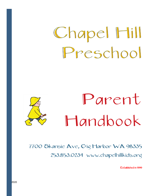# Chapel Hill Preschool

# Parent Handbook

7700 Skansie Ave, Gig Harbor WA 98335 253.853.0234 www.chapelhillkids.org

Established in 1999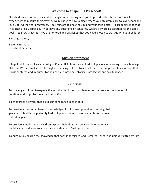## **Welcome to Chapel Hill Preschool!**

Our children are so precious, and we delight in partnering with you to provide educational and social experiences to nurture their growth. We purpose to have a place where your children learn to love school and love God. As the year progresses, I look forward to knowing you and your child better. Please feel free to stop in to chat or call, especially if you have any questions or concerns. We are all working together for the same goal — to grow great kids! We are honored and privileged that you have chosen to trust us with your children.

Blessings to You,

Beverly Burmark, Preschool Director

### **Mission Statement**

Chapel Hill Preschool, as a ministry of Chapel Hill Church seeks to develop a love of learning in preschool age children. We accomplish this through introducing children to a developmentally appropriate classroom that is Christ-centered and ministers to their social, emotional, physical, intellectual and spiritual needs.

## **Our Goals**

To challenge children to explore the world around them, to discover for themselves the wonder of creation, and to get to know the love of God.

To encourage activities that build self-confidence in each child.

To provide a curriculum based on knowledge of child development and learning that gives each child the opportunity to develop as a unique person and at his or her own individual pace.

To provide a model where children express their ideas and concerns in emotionally healthy ways and learn to appreciate the ideas and feelings of others.

To nurture in children the knowledge that each is special to God-- created, loved, and uniquely gifted by Him.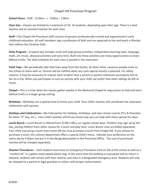## Chapel Hill Preschool Program

#### **School Hours-** 9:00 - 12:00AM or 9:00AM - 1:00PM

**Class Size**—Classes are limited to a maximum of 10- 16 students, depending upon their age. There is a lead teacher and an assistant teacher for each class.

**Staff—**The Chapel Hill Preschool staff consists of persons professionally trained and experienced in early childhood education. All staff members sign a profession of faith and are expected to live and teach a lifestyle that reflects the Christian faith.

**Daily Program**—A typical day includes small and large group activities, independent learning tasks, language, math, art, music, physical activities and story time. Built into these activities are many opportunities to share Biblical truths. The daily schedule for each class is posted in the classroom.

**Field Trips—**We periodically take field trips away from the facility. At other times, resource people come to the school to share with us. Parents will be notified when any such special activity is planned. For safety reasons, it may be necessary to request each student have a parent or parent-substitute accompany him or her on a trip. When you participate in such an activity with your child, we prefer that other siblings be left at home.

**Chapel—**This is a time when the classes gather weekly in the Memorial Chapel to sing praises to God and learn biblical truths in a larger group setting.

**Birthdays**—Birthdays are a special time to honor your child. Your child's teacher will coordinate the classroom celebration with parents.

**Holidays and Celebrations—**We hold parties for holidays, birthdays, and class chosen events (PJ's & Pancakes for letter "P" day, etc.). Your child's teacher will let you know how you can help with these special fun days.

**Lunch Bunch--** Lunch Bunch is offered from 12:00-1:00<sub>PM</sub> on regular school days. Children may sign up by the day, joining children from other classes for a lunch and play time. Lunch Bunch costs are billed separately. Your child may bring a lunch from home OR you may purchase a lunch from Chapel Hill. If you choose to purchase a lunch, the culinary department offers a special child's menu. Indicate your preference on the menu slip by 9:30am and put it in the designated pocket in the Preschool Office. The cost of purchased lunches will be charged separately.

**Disaster Procedures -**- Each student must have an Emergency Procedure Card on file at the school as well as a "comfort kit" in a gallon-sized zipped plastic bag. In the event that the building is evacuated and no return is allowed, students will remain with their teacher and class in a designated emergency area. Students will only be released to a parent or legal guardian or others with proper authorization.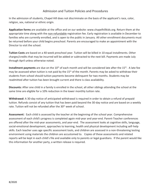## Admission and Tuition Policies and Procedures

In the admission of students, Chapel Hill does not discriminate on the basis of the applicant's race, color, religion, sex, national or ethnic origin.

**Application forms** are available at the office and on our website: www.chapelhillkids.org. Return them at the appropriate time along with the non-refundable registration fee. Early registration is available in December to families who are currently enrolled, and is open to the public in January. All other enrollment documents must be returned before your child begins preschool. Parents are encouraged to make an appointment with the Director to visit the school.

**Tuition Costs** are based on a 40-week preschool year. Tuition will be billed in 10 equal installments. Other charges/credits that may be incurred will be added or subtracted to the next bill. Payments are made July through April unless otherwise noted.

**Installment payments** are due on the 10<sup>th</sup> of each month and will be considered late after the 15<sup>th</sup>. A late fee may be assessed when tuition is not paid by the  $15<sup>th</sup>$  of the month. Parents may be asked to withdraw their students from school should tuition payments become delinquent for two months. Students may be readmitted after tuition has been brought current and there is class availability.

**Discounts:** After one child in a family is enrolled in the school, all other siblings attending the school at the same time are eligible for a 10% reduction in the lower monthly tuition rate.

**Withdrawal:** A 30-day notice of anticipated withdrawal is required in order to obtain a refund of prepaid tuition. Refunds consist of any tuition that has been paid beyond the 30-day notice and are based on a weekly rate. Tuition will not be refunded after the 30<sup>th</sup> week of school.

**Assessment:** Each child is assessed by the teacher at the beginning of the school year. Comprehensive assessment of each child's progress is completed again mid-year and year-end. Parent-Teacher conferences are offered after the mid-year assessments, and year-end. The assessment looks at cognitive skills, language, social-emotional development, approaches to learning, health and physical development including self-help skills. Each teacher uses age specific assessment tools, and children are assessed in a non-threatening testing environment using materials the children are accustomed to. Copies of these assessments and related reports will be kept in each child's file and available only to parents or legal guardians. If the parent would like this information for another party, a written release is required.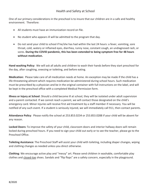One of our primary considerations in the preschool is to insure that our children are in a safe and healthy environment. Therefore:

- All students must have an immunization record on file.
- No student who appears ill will be admitted to the program that day.
- Do not send your child to school if he/she has had within the last 24 hours: a fever, vomiting, sore throat, cold, watery or inflamed eyes, diarrhea, runny nose, constant cough, an undiagnosed rash, or sores. **During the COVID pandemic, this has been extended to being symptom free for 48 hours without medication.**

**Hand washing Policy:** We will ask all adults and children to wash their hands before they start preschool for the day, after coughing, sneezing or toileting, and before eating.

**Medication:** Please take care of all medication needs at home. An exception may be made if the child has a life-threatening ailment which requires medication be administered during school hours. Such medication must be prescribed by a physician and be in the original container with full instructions on the label, and will be kept in the preschool office with a completed Medical Permission form.

**Illness or Injury at School**: Should a child become ill at school, they will be isolated under adult supervision and a parent contacted. If we cannot reach a parent, we will contact those designated on the child's emergency card. Minor injuries will receive first aid treatment by a staff member if necessary. You will be notified of any such event. If a student is seriously injured, we will immediately call 911, then contact parents.

**Attendance Policy**: Please notify the school at 253.853.0234 or 253.853.0288 if your child will be absent for any reason.

**Locked Doors:** To improve the safety of your child, classroom doors and interior hallway doors will remain locked during preschool hours. If you need to sign your child out early or to see the teacher, please go to the Preschool Office.

**Toileting Assistance:** The Preschool Staff will assist your child with toileting, including diaper changes, wiping and clothing changes as needed unless you direct otherwise.

**Clothing**: We encourage active play and "messy" art. Please send children in washable, comfortable play clothes and closed-toe shoes. Sandals and "flip flops" are a safety concern, especially in the playground.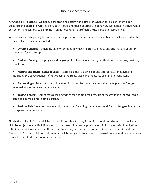## Discipline Statement

At Chapel Hill Preschool, we believe children find security and direction where there is consistent adult guidance and discipline. Our teachers both model and teach appropriate behavior. We earnestly strive, when correction is necessary, to discipline in an atmosphere that reflects Christ's love and acceptance.

We use several disciplinary techniques that help children to internalize rules and become self-directed in their behavior. These techniques include:

 **Offering Choices** – providing an environment in which children can make choices that are good for them and for the group.

 **Problem Solving** – helping a child or group of children work through a situation to a natural, positive, conclusion.

 **Natural and Logical Consequences** – stating school rules in clear and appropriate language and indicating the consequences of not obeying the rules. Discipline measures are fair and consistent.

 **Redirecting** – distracting the child's attention from the disruptive behavior by helping him/her get involved in another acceptable activity.

 **Taking a break** – sometimes a child needs to take some time away from the group in order to regain some self-control and rejoin his friends.

 **Positive Reinforcement** – above all, we work at "catching them being good," and offer genuine praise for appropriate behavior.

**No** child enrolled in Chapel Hill Preschool will be subject to any form of **corporal punishment**, nor will any child be subject to any disciplinary action that results in unusual punishment, infliction of pain, humiliation, intimidation, ridicule, coercion, threat, mental abuse, or other action of a punitive nature. Additionally, no Chapel Hill Preschool child or staff member will be subjected to any form of **sexual harassment** or intimidation by another student, staff member or parent.